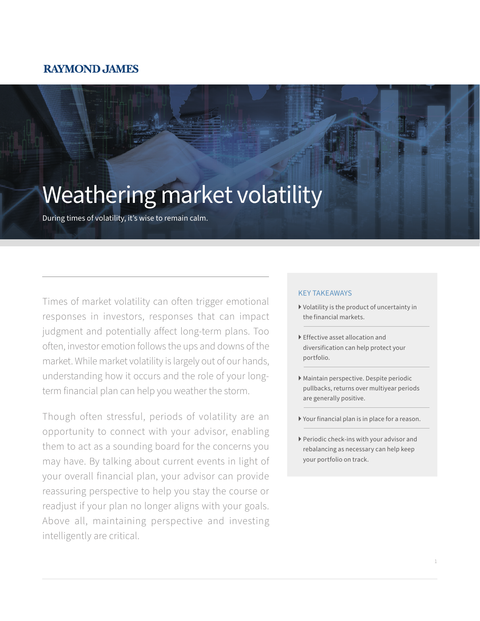### **RAYMOND JAMES**

# Weathering market volatility

During times of volatility, it's wise to remain calm.

Times of market volatility can often trigger emotional responses in investors, responses that can impact judgment and potentially affect long-term plans. Too often, investor emotion follows the ups and downs of the market. While market volatility is largely out of our hands, understanding how it occurs and the role of your longterm financial plan can help you weather the storm.

Though often stressful, periods of volatility are an opportunity to connect with your advisor, enabling them to act as a sounding board for the concerns you may have. By talking about current events in light of your overall financial plan, your advisor can provide reassuring perspective to help you stay the course or readjust if your plan no longer aligns with your goals. Above all, maintaining perspective and investing intelligently are critical.

#### KEY TAKEAWAYS

- } Volatility is the product of uncertainty in the financial markets.
- } Effective asset allocation and diversification can help protect your portfolio.
- } Maintain perspective. Despite periodic pullbacks, returns over multiyear periods are generally positive.
- } Your financial plan is in place for a reason.
- } Periodic check-ins with your advisor and rebalancing as necessary can help keep your portfolio on track.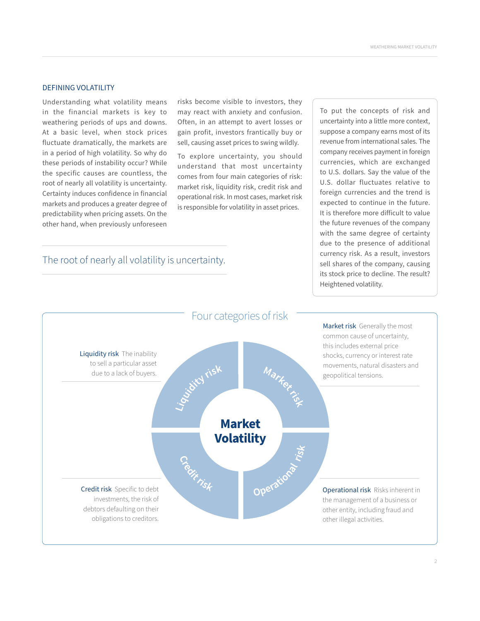#### DEFINING VOLATILITY

Understanding what volatility means in the financial markets is key to weathering periods of ups and downs. At a basic level, when stock prices fluctuate dramatically, the markets are in a period of high volatility. So why do these periods of instability occur? While the specific causes are countless, the root of nearly all volatility is uncertainty. Certainty induces confidence in financial markets and produces a greater degree of predictability when pricing assets. On the other hand, when previously unforeseen

The root of nearly all volatility is uncertainty.

risks become visible to investors, they may react with anxiety and confusion. Often, in an attempt to avert losses or gain profit, investors frantically buy or sell, causing asset prices to swing wildly.

To explore uncertainty, you should understand that most uncertainty comes from four main categories of risk: market risk, liquidity risk, credit risk and operational risk. In most cases, market risk is responsible for volatility in asset prices.

To put the concepts of risk and uncertainty into a little more context, suppose a company earns most of its revenue from international sales. The company receives payment in foreign currencies, which are exchanged to U.S. dollars. Say the value of the U.S. dollar fluctuates relative to foreign currencies and the trend is expected to continue in the future. It is therefore more difficult to value the future revenues of the company with the same degree of certainty due to the presence of additional currency risk. As a result, investors sell shares of the company, causing its stock price to decline. The result? Heightened volatility.

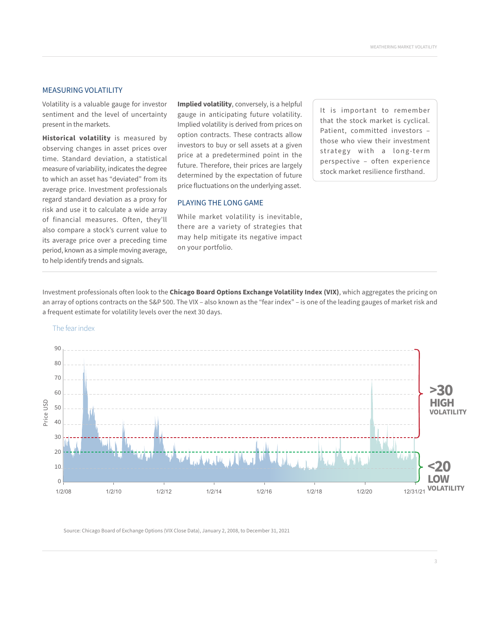#### MEASURING VOLATILITY

Volatility is a valuable gauge for investor sentiment and the level of uncertainty present in the markets.

**Historical volatility** is measured by observing changes in asset prices over time. Standard deviation, a statistical measure of variability, indicates the degree to which an asset has "deviated" from its average price. Investment professionals regard standard deviation as a proxy for risk and use it to calculate a wide array of financial measures. Often, they'll also compare a stock's current value to its average price over a preceding time period, known as a simple moving average, to help identify trends and signals.

**Implied volatility**, conversely, is a helpful gauge in anticipating future volatility. Implied volatility is derived from prices on option contracts. These contracts allow investors to buy or sell assets at a given price at a predetermined point in the future. Therefore, their prices are largely determined by the expectation of future price fluctuations on the underlying asset.

#### PLAYING THE LONG GAME

While market volatility is inevitable, there are a variety of strategies that may help mitigate its negative impact on your portfolio.

It is important to remember that the stock market is cyclical. Patient, committed investors – those who view their investment strategy with a long-term perspective – often experience stock market resilience firsthand.

Investment professionals often look to the **Chicago Board Options Exchange Volatility Index (VIX)**, which aggregates the pricing on an array of options contracts on the S&P 500. The VIX – also known as the "fear index" – is one of the leading gauges of market risk and a frequent estimate for volatility levels over the next 30 days.



Source: Chicago Board of Exchange Options (VIX Close Data), January 2, 2008, to December 31, 2021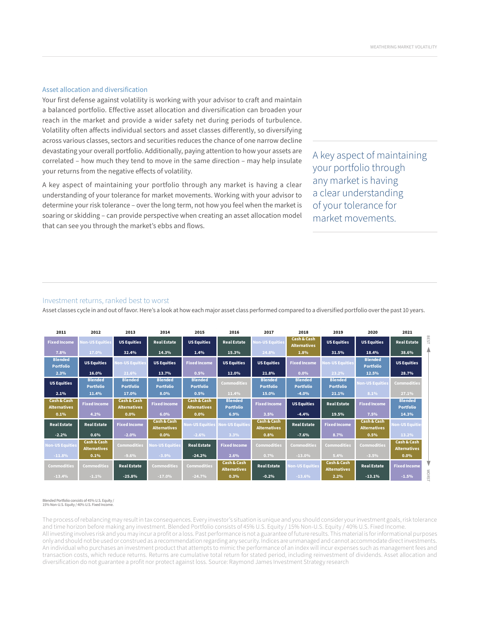#### Asset allocation and diversification

Your first defense against volatility is working with your advisor to craft and maintain a balanced portfolio. Effective asset allocation and diversification can broaden your reach in the market and provide a wider safety net during periods of turbulence. Volatility often affects individual sectors and asset classes differently, so diversifying across various classes, sectors and securities reduces the chance of one narrow decline devastating your overall portfolio. Additionally, paying attention to how your assets are correlated – how much they tend to move in the same direction – may help insulate your returns from the negative effects of volatility.

A key aspect of maintaining your portfolio through any market is having a clear understanding of your tolerance for market movements. Working with your advisor to determine your risk tolerance – over the long term, not how you feel when the market is soaring or skidding – can provide perspective when creating an asset allocation model that can see you through the market's ebbs and flows.

A key aspect of maintaining your portfolio through any market is having a clear understanding of your tolerance for market movements.

#### Investment returns, ranked best to worst

Asset classes cycle in and out of favor. Here's a look at how each major asset class performed compared to a diversified portfolio over the past 10 years.

| 2011                                          | 2012                               | 2013                                          | 2014                                          | 2015                                          | 2016                                          | 2017                                          | 2018                                          | 2019                               | 2020                                          | 2021                               |       |
|-----------------------------------------------|------------------------------------|-----------------------------------------------|-----------------------------------------------|-----------------------------------------------|-----------------------------------------------|-----------------------------------------------|-----------------------------------------------|------------------------------------|-----------------------------------------------|------------------------------------|-------|
| <b>Fixed Income</b>                           | <b>Non-US Equities</b>             | <b>US Equities</b>                            | <b>Real Estate</b>                            | <b>US Equities</b>                            | <b>Real Estate</b>                            | Non-US Equities                               | <b>Cash &amp; Cash</b><br><b>Alternatives</b> | <b>US Equities</b>                 | <b>US Equities</b>                            | <b>Real Estate</b>                 | BEST  |
| 7.8%                                          | 17.0%                              | 32.4%                                         | 14.3%                                         | 1.4%                                          | 15.3%                                         | 24.8%                                         | 1.8%                                          | 31.5%                              | 18.4%                                         | 38.6%                              |       |
| <b>Blended</b><br><b>Portfolio</b>            | <b>US Equities</b>                 | <b>Non-US Equities</b>                        | <b>US Equities</b>                            | <b>Fixed Income</b>                           | <b>US Equities</b>                            | <b>US Equities</b>                            | <b>Fixed Income</b>                           | <b>Ion-US Equities</b>             | <b>Blended</b><br><b>Portfolio</b>            | <b>US Equities</b>                 |       |
| 2.3%                                          | 16.0%                              | 21.6%                                         | 13.7%                                         | 0.5%                                          | 12.0%                                         | 21.8%                                         | $0.0\%$                                       | 23.2%                              | 12.5%                                         | 28.7%                              |       |
| <b>US Equities</b>                            | <b>Blended</b><br><b>Portfolio</b> | <b>Blended</b><br><b>Portfolio</b>            | <b>Blended</b><br><b>Portfolio</b>            | <b>Blended</b><br><b>Portfolio</b>            | <b>Commodities</b>                            | <b>Blended</b><br><b>Portfolio</b>            | <b>Blended</b><br><b>Portfolio</b>            | <b>Blended</b><br><b>Portfolio</b> | <b>Non-US Equities</b>                        | Commodities                        |       |
| 2.1%                                          | 11.4%                              | 17.0%                                         | 8.0%                                          | 0.5%                                          | 11.4%                                         | 15.0%                                         | $-4.0%$                                       | 21.1%                              | 8.1%                                          | 27.1%                              |       |
| <b>Cash &amp; Cash</b><br><b>Alternatives</b> | <b>Fixed Income</b>                | <b>Cash &amp; Cash</b><br><b>Alternatives</b> | <b>Fixed Income</b>                           | <b>Cash &amp; Cash</b><br><b>Alternatives</b> | <b>Blended</b><br><b>Portfolio</b>            | <b>Fixed Income</b>                           | <b>US Equities</b>                            | <b>Real Estate</b>                 | <b>Fixed Income</b>                           | <b>Blended</b><br><b>Portfolio</b> |       |
| 0.1%                                          | 4.2%                               | 0.0%                                          | 6.0%                                          | 0.0%                                          | 6.9%                                          | 3.5%                                          | $-4.4%$                                       | 19.5%                              | 7.5%                                          | 14.3%                              |       |
| <b>Real Estate</b>                            | <b>Real Estate</b>                 | <b>Fixed Income</b>                           | <b>Cash &amp; Cash</b><br><b>Alternatives</b> | <b>Non-US Equities</b>                        | <b>Non-US Equities</b>                        | <b>Cash &amp; Cash</b><br><b>Alternatives</b> | <b>Real Estate</b>                            | <b>Fixed Income</b>                | <b>Cash &amp; Cash</b><br><b>Alternatives</b> | Non-US Equitie                     |       |
| $-2.2%$                                       | 0.6%                               | $-2.0%$                                       | 0.0%                                          | $-2.6%$                                       | 3.3%                                          | 0.8%                                          | $-7.6%$                                       | 8.7%                               | 0.5%                                          | 13.2%                              |       |
| <b>Non-US Equities</b>                        | Cash & Cash<br>Alternatives        | <b>Commodities</b>                            | <b>Non-US Equities</b>                        | <b>Real Estate</b>                            | <b>Fixed Income</b>                           | <b>Commodities</b>                            | <b>Commodities</b>                            | <b>Commodities</b>                 | <b>Commodities</b>                            | Cash & Cash<br><b>Alternatives</b> |       |
| $-11.8%$                                      | 0.1%                               | $-9.6%$                                       | $-3.9%$                                       | $-24.2%$                                      | 2.6%                                          | 0.7%                                          | $-13.0%$                                      | 5.4%                               | $-3.5%$                                       | $0.0\%$                            |       |
| <b>Commodities</b>                            | <b>Commodities</b>                 | <b>Real Estate</b>                            | <b>Commodities</b>                            | <b>Commodities</b>                            | <b>Cash &amp; Cash</b><br><b>Alternatives</b> | <b>Real Estate</b>                            | Non-US Equities                               | Cash & Cash<br><b>Alternatives</b> | <b>Real Estate</b>                            | <b>Fixed Income</b>                |       |
| $-13.4%$                                      | $-1.1%$                            | $-25.8%$                                      | $-17.0%$                                      | $-24.7%$                                      | 0.3%                                          | $-0.2%$                                       | $-13.6%$                                      | 2.2%                               | $-13.1%$                                      | $-1.5%$                            | WORST |

#### Blended Portfolio consists of 45% U.S. Equity / 15% Non-U.S. Equity / 40% U.S. Fixed Income.

The process of rebalancing may result in tax consequences. Every investor's situation is unique and you should consider your investment goals, risk tolerance and time horizon before making any investment. Blended Portfolio consists of 45% U.S. Equity / 15% Non-U.S. Equity / 40% U.S. Fixed Income. All investing involves risk and you may incur a profit or a loss. Past performance is not a guarantee of future results. This material is for informational purposes only and should not be used or construed as a recommendation regarding any security. Indices are unmanaged and cannot accommodate direct investments. An individual who purchases an investment product that attempts to mimic the performance of an index will incur expenses such as management fees and transaction costs, which reduce returns. Returns are cumulative total return for stated period, including reinvestment of dividends. Asset allocation and diversification do not guarantee a profit nor protect against loss. Source: Raymond James Investment Strategy research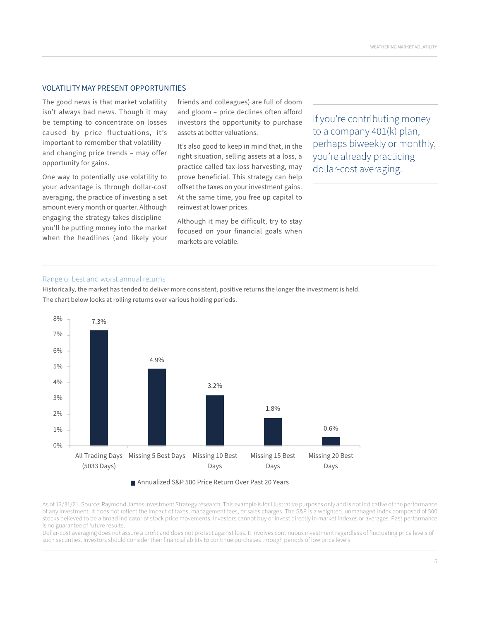#### VOLATILITY MAY PRESENT OPPORTUNITIES

The good news is that market volatility isn't always bad news. Though it may be tempting to concentrate on losses caused by price fluctuations, it's important to remember that volatility – and changing price trends – may offer opportunity for gains.

One way to potentially use volatility to your advantage is through dollar-cost averaging, the practice of investing a set amount every month or quarter. Although engaging the strategy takes discipline – you'll be putting money into the market when the headlines (and likely your friends and colleagues) are full of doom and gloom – price declines often afford investors the opportunity to purchase assets at better valuations.

It's also good to keep in mind that, in the right situation, selling assets at a loss, a practice called tax-loss harvesting, may prove beneficial. This strategy can help offset the taxes on your investment gains. At the same time, you free up capital to reinvest at lower prices.

Although it may be difficult, try to stay focused on your financial goals when markets are volatile.

If you're contributing money to a company 401(k) plan, perhaps biweekly or monthly, you're already practicing dollar-cost averaging.

#### Range of best and worst annual returns

Historically, the market has tended to deliver more consistent, positive returns the longer the investment is held. The chart below looks at rolling returns over various holding periods.





As of 12/31/21. Source: Raymond James Investment Strategy research. This example is for illustrative purposes only and is not indicative of the performance of any investment. It does not reflect the impact of taxes, management fees, or sales charges. The S&P is a weighted, unmanaged index composed of 500 stocks believed to be a broad indicator of stock price movements. Investors cannot buy or invest directly in market indexes or averages. Past performance is no guarantee of future results.

Dollar-cost averaging does not assure a profit and does not protect against loss. It involves continuous investment regardless of fluctuating price levels of such securities. Investors should consider their financial ability to continue purchases through periods of low price levels.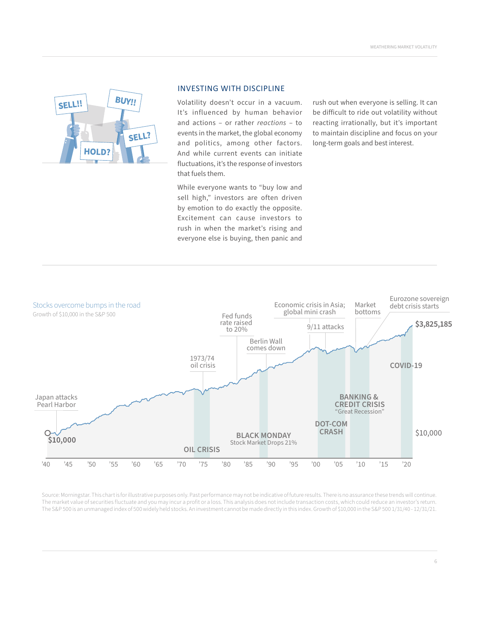

#### INVESTING WITH DISCIPLINE

Volatility doesn't occur in a vacuum. It's influenced by human behavior and actions – or rather *reactions* – to events in the market, the global economy and politics, among other factors. And while current events can initiate fluctuations, it's the response of investors that fuels them.

While everyone wants to "buy low and sell high," investors are often driven by emotion to do exactly the opposite. Excitement can cause investors to rush in when the market's rising and everyone else is buying, then panic and

rush out when everyone is selling. It can be difficult to ride out volatility without reacting irrationally, but it's important to maintain discipline and focus on your long-term goals and best interest.



Source: Morningstar. This chart is for illustrative purposes only. Past performance may not be indicative of future results. There is no assurance these trends will continue. The market value of securities fluctuate and you may incur a profit or a loss. This analysis does not include transaction costs, which could reduce an investor's return. The S&P 500 is an unmanaged index of 500 widely held stocks. An investment cannot be made directly in this index. Growth of \$10,000 in the S&P 500 1/31/40 - 12/31/21.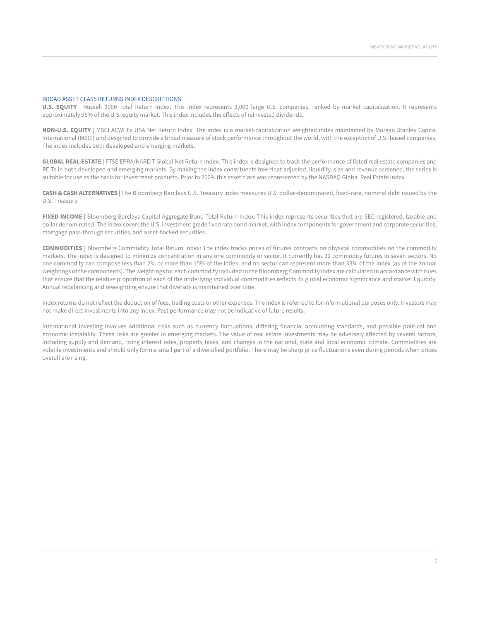#### BROAD ASSET CLASS RETURNS INDEX DESCRIPTIONS

**U.S. EQUITY** | Russell 3000 Total Return Index: This index represents 3,000 large U.S. companies, ranked by market capitalization. It represents approximately 98% of the U.S. equity market. This index includes the effects of reinvested dividends.

**NON-U.S. EQUITY** | MSCI ACWI Ex USA Net Return Index: The index is a market-capitalization weighted index maintained by Morgan Stanley Capital International (MSCI) and designed to provide a broad measure of stock performance throughout the world, with the exception of U.S.-based companies. The index includes both developed and emerging markets.

**GLOBAL REAL ESTATE** | FTSE EPRA/NAREIT Global Net Return Index: This index is designed to track the performance of listed real estate companies and REITs in both developed and emerging markets. By making the index constituents free-float adjusted, liquidity, size and revenue screened, the series is suitable for use as the basis for investment products. Prior to 2009, this asset class was represented by the NASDAQ Global Real Estate Index.

**CASH & CASH ALTERNATIVES** | The Bloomberg Barclays U.S. Treasury Index measures U.S. dollar-denominated, fixed-rate, nominal debt issued by the U.S. Treasury.

FIXED INCOME | Bloomberg Barclays Capital Aggregate Bond Total Return Index: This index represents securities that are SEC-registered, taxable and dollar denominated. The index covers the U.S. investment grade fixed rate bond market, with index components for government and corporate securities, mortgage pass-through securities, and asset-backed securities.

**COMMODITIES** | Bloomberg Commodity Total Return Index: The index tracks prices of futures contracts on physical commodities on the commodity markets. The index is designed to minimize concentration in any one commodity or sector. It currently has 22 commodity futures in seven sectors. No one commodity can compose less than 2% or more than 15% of the index, and no sector can represent more than 33% of the index (as of the annual weightings of the components). The weightings for each commodity included in the Bloomberg Commodity Index are calculated in accordance with rules that ensure that the relative proportion of each of the underlying individual commodities reflects its global economic significance and market liquidity. Annual rebalancing and reweighting ensure that diversity is maintained over time.

Index returns do not reflect the deduction of fees, trading costs or other expenses. The index is referred to for informational purposes only. Investors may not make direct investments into any index. Past performance may not be indicative of future results.

International investing involves additional risks such as currency fluctuations, differing financial accounting standards, and possible political and economic instability. These risks are greater in emerging markets. The value of real estate investments may be adversely affected by several factors, including supply and demand, rising interest rates, property taxes, and changes in the national, state and local economic climate. Commodities are volatile investments and should only form a small part of a diversified portfolio. There may be sharp price fluctuations even during periods when prices overall are rising.